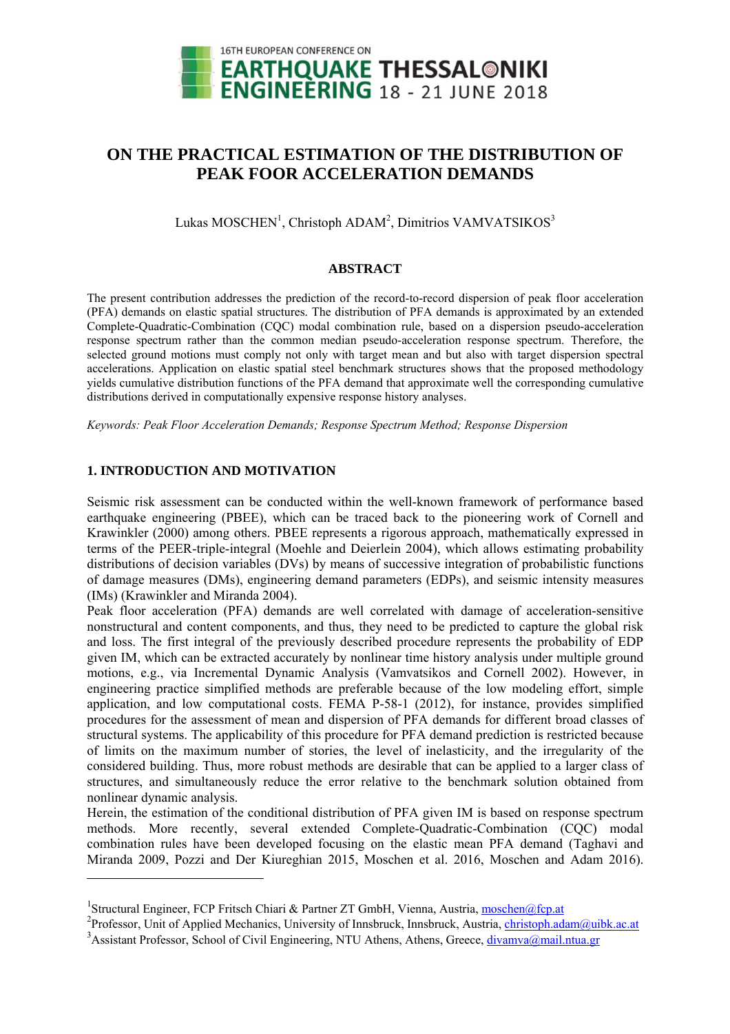

# **ON THE PRACTICAL ESTIMATION OF THE DISTRIBUTION OF PEAK FOOR ACCELERATION DEMANDS**

Lukas MOSCHEN<sup>1</sup>, Christoph ADAM<sup>2</sup>, Dimitrios VAMVATSIKOS<sup>3</sup>

### **ABSTRACT**

The present contribution addresses the prediction of the record-to-record dispersion of peak floor acceleration (PFA) demands on elastic spatial structures. The distribution of PFA demands is approximated by an extended Complete-Quadratic-Combination (CQC) modal combination rule, based on a dispersion pseudo-acceleration response spectrum rather than the common median pseudo-acceleration response spectrum. Therefore, the selected ground motions must comply not only with target mean and but also with target dispersion spectral accelerations. Application on elastic spatial steel benchmark structures shows that the proposed methodology yields cumulative distribution functions of the PFA demand that approximate well the corresponding cumulative distributions derived in computationally expensive response history analyses.

*Keywords: Peak Floor Acceleration Demands; Response Spectrum Method; Response Dispersion* 

# **1. INTRODUCTION AND MOTIVATION**

l

Seismic risk assessment can be conducted within the well-known framework of performance based earthquake engineering (PBEE), which can be traced back to the pioneering work of Cornell and Krawinkler (2000) among others. PBEE represents a rigorous approach, mathematically expressed in terms of the PEER-triple-integral (Moehle and Deierlein 2004), which allows estimating probability distributions of decision variables (DVs) by means of successive integration of probabilistic functions of damage measures (DMs), engineering demand parameters (EDPs), and seismic intensity measures (IMs) (Krawinkler and Miranda 2004).

Peak floor acceleration (PFA) demands are well correlated with damage of acceleration-sensitive nonstructural and content components, and thus, they need to be predicted to capture the global risk and loss. The first integral of the previously described procedure represents the probability of EDP given IM, which can be extracted accurately by nonlinear time history analysis under multiple ground motions, e.g., via Incremental Dynamic Analysis (Vamvatsikos and Cornell 2002). However, in engineering practice simplified methods are preferable because of the low modeling effort, simple application, and low computational costs. FEMA P-58-1 (2012), for instance, provides simplified procedures for the assessment of mean and dispersion of PFA demands for different broad classes of structural systems. The applicability of this procedure for PFA demand prediction is restricted because of limits on the maximum number of stories, the level of inelasticity, and the irregularity of the considered building. Thus, more robust methods are desirable that can be applied to a larger class of structures, and simultaneously reduce the error relative to the benchmark solution obtained from nonlinear dynamic analysis.

Herein, the estimation of the conditional distribution of PFA given IM is based on response spectrum methods. More recently, several extended Complete-Quadratic-Combination (CQC) modal combination rules have been developed focusing on the elastic mean PFA demand (Taghavi and Miranda 2009, Pozzi and Der Kiureghian 2015, Moschen et al. 2016, Moschen and Adam 2016).

<sup>&</sup>lt;sup>1</sup>Structural Engineer, FCP Fritsch Chiari & Partner ZT GmbH, Vienna, Austria, <u>moschen@fcp.at</u><br><sup>2</sup>Drefessor, Unit of Annlied Meckeniss, University of Innshmels, Innshmels, Austria, ekristenk ode

<sup>&</sup>lt;sup>2</sup>Professor, Unit of Applied Mechanics, University of Innsbruck, Innsbruck, Austria, christoph.adam@uibk.ac.at

<sup>&</sup>lt;sup>3</sup> Assistant Professor, School of Civil Engineering, NTU Athens, Athens, Greece, *divamva@mail.ntua.gr*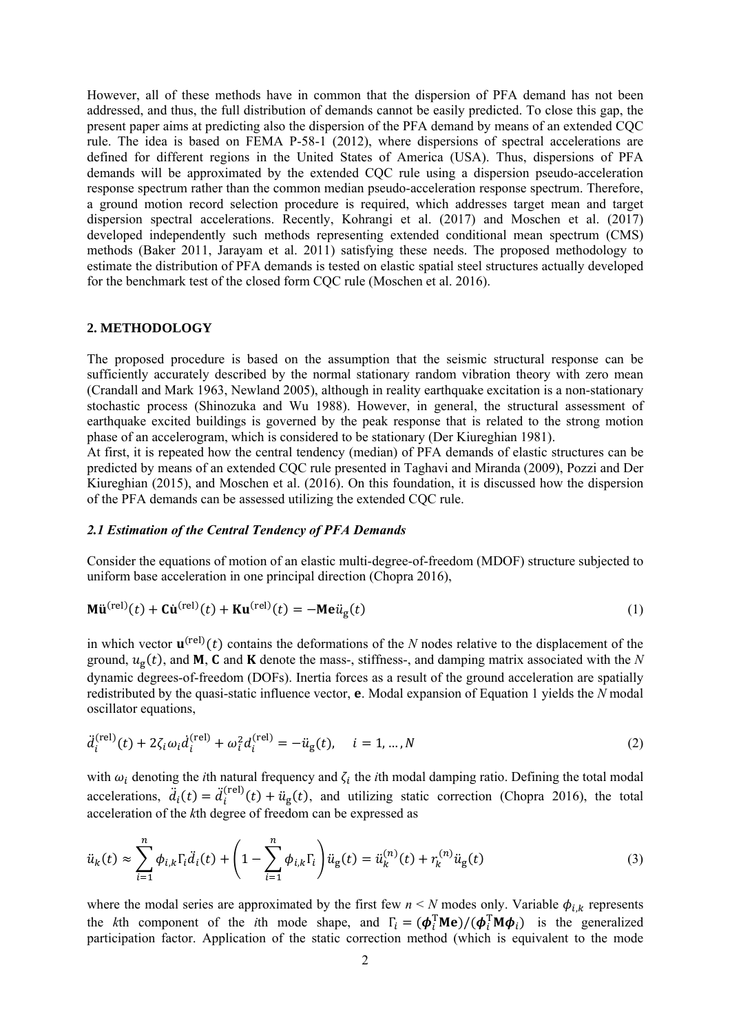However, all of these methods have in common that the dispersion of PFA demand has not been addressed, and thus, the full distribution of demands cannot be easily predicted. To close this gap, the present paper aims at predicting also the dispersion of the PFA demand by means of an extended CQC rule. The idea is based on FEMA P-58-1 (2012), where dispersions of spectral accelerations are defined for different regions in the United States of America (USA). Thus, dispersions of PFA demands will be approximated by the extended CQC rule using a dispersion pseudo-acceleration response spectrum rather than the common median pseudo-acceleration response spectrum. Therefore, a ground motion record selection procedure is required, which addresses target mean and target dispersion spectral accelerations. Recently, Kohrangi et al. (2017) and Moschen et al. (2017) developed independently such methods representing extended conditional mean spectrum (CMS) methods (Baker 2011, Jarayam et al. 2011) satisfying these needs. The proposed methodology to estimate the distribution of PFA demands is tested on elastic spatial steel structures actually developed for the benchmark test of the closed form CQC rule (Moschen et al. 2016).

#### **2. METHODOLOGY**

The proposed procedure is based on the assumption that the seismic structural response can be sufficiently accurately described by the normal stationary random vibration theory with zero mean (Crandall and Mark 1963, Newland 2005), although in reality earthquake excitation is a non-stationary stochastic process (Shinozuka and Wu 1988). However, in general, the structural assessment of earthquake excited buildings is governed by the peak response that is related to the strong motion phase of an accelerogram, which is considered to be stationary (Der Kiureghian 1981).

At first, it is repeated how the central tendency (median) of PFA demands of elastic structures can be predicted by means of an extended CQC rule presented in Taghavi and Miranda (2009), Pozzi and Der Kiureghian (2015), and Moschen et al. (2016). On this foundation, it is discussed how the dispersion of the PFA demands can be assessed utilizing the extended CQC rule.

#### *2.1 Estimation of the Central Tendency of PFA Demands*

Consider the equations of motion of an elastic multi-degree-of-freedom (MDOF) structure subjected to uniform base acceleration in one principal direction (Chopra 2016),

$$
\mathbf{M}\ddot{\mathbf{u}}^{(\text{rel})}(t) + \mathbf{C}\dot{\mathbf{u}}^{(\text{rel})}(t) + \mathbf{K}\mathbf{u}^{(\text{rel})}(t) = -\mathbf{M}\mathbf{e}\ddot{u}_{g}(t)
$$
\n(1)

in which vector  $\mathbf{u}^{(rel)}(t)$  contains the deformations of the *N* nodes relative to the displacement of the ground,  $u_{\rm g}(t)$ , and **M**, **C** and **K** denote the mass-, stiffness-, and damping matrix associated with the *N* dynamic degrees-of-freedom (DOFs). Inertia forces as a result of the ground acceleration are spatially redistributed by the quasi-static influence vector, **e**. Modal expansion of Equation 1 yields the *N* modal oscillator equations,

$$
\ddot{d}_i^{(\text{rel})}(t) + 2\zeta_i \omega_i \dot{d}_i^{(\text{rel})} + \omega_i^2 d_i^{(\text{rel})} = -\ddot{u}_g(t), \quad i = 1, \dots, N
$$
\n(2)

with  $\omega_i$  denoting the *i*th natural frequency and  $\zeta_i$  the *i*th modal damping ratio. Defining the total modal accelerations,  $\ddot{d}_i(t) = \ddot{d}_i^{(rel)}(t) + \ddot{u}_g(t)$ , and utilizing static correction (Chopra 2016), the total acceleration of the *k*th degree of freedom can be expressed as

$$
\ddot{u}_k(t) \approx \sum_{i=1}^n \phi_{i,k} \Gamma_i \ddot{d}_i(t) + \left(1 - \sum_{i=1}^n \phi_{i,k} \Gamma_i\right) \ddot{u}_g(t) = \ddot{u}_k^{(n)}(t) + r_k^{(n)} \ddot{u}_g(t)
$$
\n(3)

where the modal series are approximated by the first few  $n \le N$  modes only. Variable  $\phi_{i,k}$  represents the *k*th component of the *i*th mode shape, and  $\Gamma_i = (\phi_i^T \mathbf{M} \mathbf{e}) / (\phi_i^T \mathbf{M} \phi_i)$  is the generalized participation factor. Application of the static correction method (which is equivalent to the mode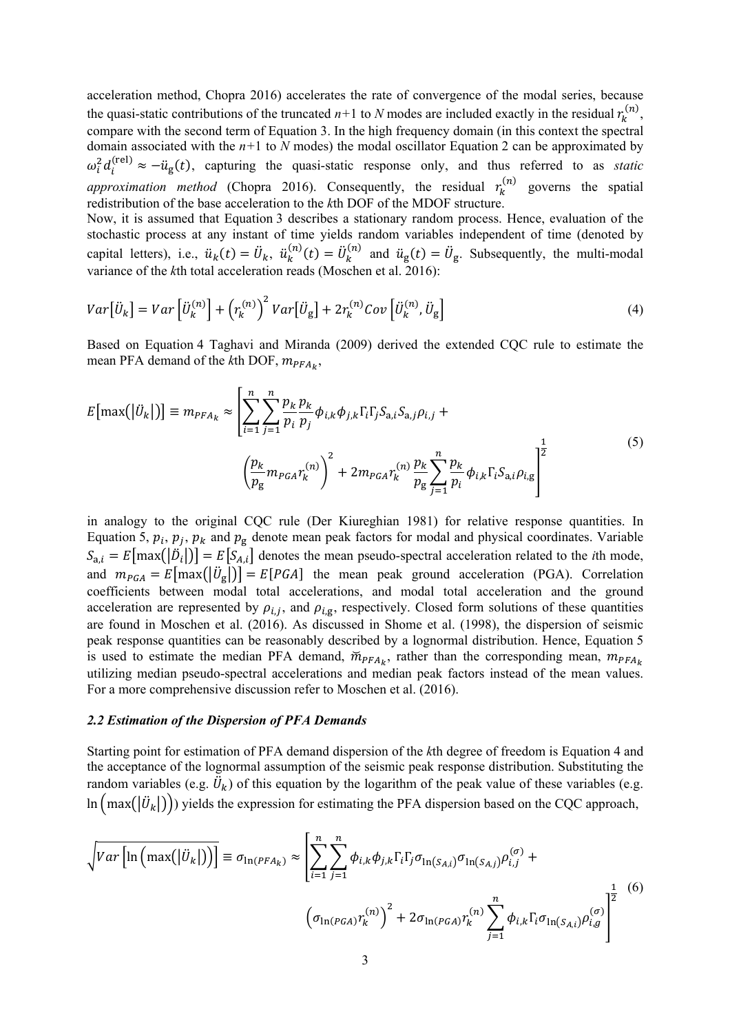acceleration method, Chopra 2016) accelerates the rate of convergence of the modal series, because the quasi-static contributions of the truncated  $n+1$  to *N* modes are included exactly in the residual  $r_k$  $\binom{n}{ }$ compare with the second term of Equation 3. In the high frequency domain (in this context the spectral domain associated with the  $n+1$  to  $N$  modes) the modal oscillator Equation 2 can be approximated by  $\omega_i^2 d_i^{(rel)} \approx -\ddot{u}_g(t)$ , capturing the quasi-static response only, and thus referred to as *static approximation method* (Chopra 2016). Consequently, the residual  $r_k^{\prime}$  $\kappa^{(n)}$  governs the spatial redistribution of the base acceleration to the *k*th DOF of the MDOF structure.

Now, it is assumed that Equation 3 describes a stationary random process. Hence, evaluation of the stochastic process at any instant of time yields random variables independent of time (denoted by capital letters), i.e.,  $\ddot{u}_k(t) = \ddot{U}_k$ ,  $\ddot{u}_k^{(i)}$  $\ddot{u}_{k}^{(n)}(t) = \ddot{U}_{k}^{(n)}$  $\ddot{u}_{\rm g}(t) = \ddot{U}_{\rm g}$ . Subsequently, the multi-modal variance of the *k*th total acceleration reads (Moschen et al. 2016):

$$
Var\left[\ddot{U}_k\right] = Var\left[\ddot{U}_k^{(n)}\right] + \left(r_k^{(n)}\right)^2 Var\left[\ddot{U}_g\right] + 2r_k^{(n)}Cov\left[\ddot{U}_k^{(n)}, \ddot{U}_g\right]
$$
\n(4)

Based on Equation 4 Taghavi and Miranda (2009) derived the extended CQC rule to estimate the mean PFA demand of the *k*th DOF,  $m_{PFA_k}$ ,

$$
E\left[\max(|U_k|)\right] \equiv m_{PFA_k} \approx \left[\sum_{i=1}^n \sum_{j=1}^n \frac{p_k}{p_i} \frac{p_k}{p_j} \phi_{i,k} \phi_{j,k} \Gamma_i \Gamma_j S_{a,i} S_{a,j} \rho_{i,j} + \left(\frac{p_k}{p_g} m_{PGA} \gamma_k^{(n)}\right)^2 + 2m_{PGA} \gamma_k^{(n)} \frac{p_k}{p_g} \sum_{j=1}^n \frac{p_k}{p_i} \phi_{i,k} \Gamma_i S_{a,i} \rho_{i,g}\right]^{\frac{1}{2}}
$$
\n
$$
(5)
$$

in analogy to the original CQC rule (Der Kiureghian 1981) for relative response quantities. In Equation 5,  $p_i$ ,  $p_j$ ,  $p_k$  and  $p_g$  denote mean peak factors for modal and physical coordinates. Variable  $S_{a,i} = E[\max(|D_i|)] = E[S_{A,i}]$  denotes the mean pseudo-spectral acceleration related to the *i*th mode, and  $m_{PGA} = E[\text{max}(|U_g|)] = E[PGA]$  the mean peak ground acceleration (PGA). Correlation coefficients between modal total accelerations, and modal total acceleration and the ground acceleration are represented by  $\rho_{i,j}$ , and  $\rho_{i,g}$ , respectively. Closed form solutions of these quantities are found in Moschen et al. (2016). As discussed in Shome et al. (1998), the dispersion of seismic peak response quantities can be reasonably described by a lognormal distribution. Hence, Equation 5 is used to estimate the median PFA demand,  $\tilde{m}_{PFA_k}$ , rather than the corresponding mean,  $m_{PFA_k}$ utilizing median pseudo-spectral accelerations and median peak factors instead of the mean values. For a more comprehensive discussion refer to Moschen et al. (2016).

#### *2.2 Estimation of the Dispersion of PFA Demands*

Starting point for estimation of PFA demand dispersion of the *k*th degree of freedom is Equation 4 and the acceptance of the lognormal assumption of the seismic peak response distribution. Substituting the random variables (e.g.  $\ddot{U}_k$ ) of this equation by the logarithm of the peak value of these variables (e.g. In  $(\text{max}(|U_k|))$  yields the expression for estimating the PFA dispersion based on the CQC approach,

$$
\sqrt{Var\left[\ln\left(\max(|U_k|)\right)\right]} \equiv \sigma_{\ln(PFA_k)} \approx \left[\sum_{i=1}^n \sum_{j=1}^n \phi_{i,k} \phi_{j,k} \Gamma_i \Gamma_j \sigma_{\ln(S_{A,i})} \sigma_{\ln(S_{A,j})} \rho_{i,j}^{(\sigma)} + \left(\sigma_{\ln(PGA)} \gamma_k^{(n)}\right)^2 + 2\sigma_{\ln(PGA)} \gamma_k^{(n)} \sum_{j=1}^n \phi_{i,k} \Gamma_i \sigma_{\ln(S_{A,i})} \rho_{i,g}^{(\sigma)}\right]^{\frac{1}{2}}
$$
(6)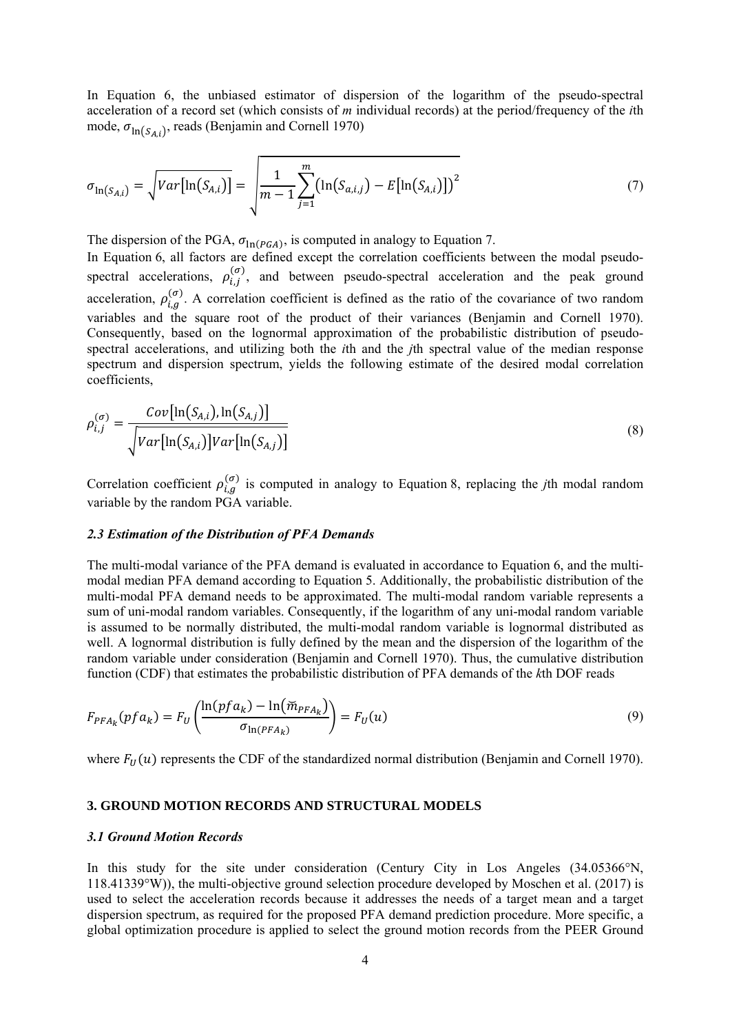In Equation 6, the unbiased estimator of dispersion of the logarithm of the pseudo-spectral acceleration of a record set (which consists of *m* individual records) at the period/frequency of the *i*th mode,  $\sigma_{\ln(S_{4i})}$ , reads (Benjamin and Cornell 1970)

$$
\sigma_{\ln(S_{A,i})} = \sqrt{Var[\ln(S_{A,i})]} = \sqrt{\frac{1}{m-1} \sum_{j=1}^{m} (\ln(S_{a,i,j}) - E[\ln(S_{A,i})])^2}
$$
(7)

The dispersion of the PGA,  $\sigma_{\ln(PGA)}$ , is computed in analogy to Equation 7.

In Equation 6, all factors are defined except the correlation coefficients between the modal pseudospectral accelerations,  $\rho_{i,j}^{(\sigma)}$ , and between pseudo-spectral acceleration and the peak ground acceleration,  $\rho_{i,g}^{(\sigma)}$ . A correlation coefficient is defined as the ratio of the covariance of two random variables and the square root of the product of their variances (Benjamin and Cornell 1970). Consequently, based on the lognormal approximation of the probabilistic distribution of pseudospectral accelerations, and utilizing both the *i*th and the *j*th spectral value of the median response spectrum and dispersion spectrum, yields the following estimate of the desired modal correlation coefficients,

$$
\rho_{i,j}^{(\sigma)} = \frac{Cov[\ln(S_{A,i}), \ln(S_{A,j})]}{\sqrt{Var[\ln(S_{A,i})]Var[\ln(S_{A,j})]}}
$$
\n(8)

Correlation coefficient  $\rho_{i,q}^{(\sigma)}$  is computed in analogy to Equation 8, replacing the *j*th modal random variable by the random PGA variable.

#### *2.3 Estimation of the Distribution of PFA Demands*

The multi-modal variance of the PFA demand is evaluated in accordance to Equation 6, and the multimodal median PFA demand according to Equation 5. Additionally, the probabilistic distribution of the multi-modal PFA demand needs to be approximated. The multi-modal random variable represents a sum of uni-modal random variables. Consequently, if the logarithm of any uni-modal random variable is assumed to be normally distributed, the multi-modal random variable is lognormal distributed as well. A lognormal distribution is fully defined by the mean and the dispersion of the logarithm of the random variable under consideration (Benjamin and Cornell 1970). Thus, the cumulative distribution function (CDF) that estimates the probabilistic distribution of PFA demands of the *k*th DOF reads

$$
F_{PFA_k}(pf a_k) = F_U\left(\frac{\ln(pfa_k) - \ln(\widetilde{m}_{PFA_k})}{\sigma_{\ln(PFA_k)}}\right) = F_U(u)
$$
\n(9)

where  $F_{11}(u)$  represents the CDF of the standardized normal distribution (Benjamin and Cornell 1970).

#### **3. GROUND MOTION RECORDS AND STRUCTURAL MODELS**

#### *3.1 Ground Motion Records*

In this study for the site under consideration (Century City in Los Angeles  $(34.05366^{\circ}N,$ 118.41339°W)), the multi-objective ground selection procedure developed by Moschen et al. (2017) is used to select the acceleration records because it addresses the needs of a target mean and a target dispersion spectrum, as required for the proposed PFA demand prediction procedure. More specific, a global optimization procedure is applied to select the ground motion records from the PEER Ground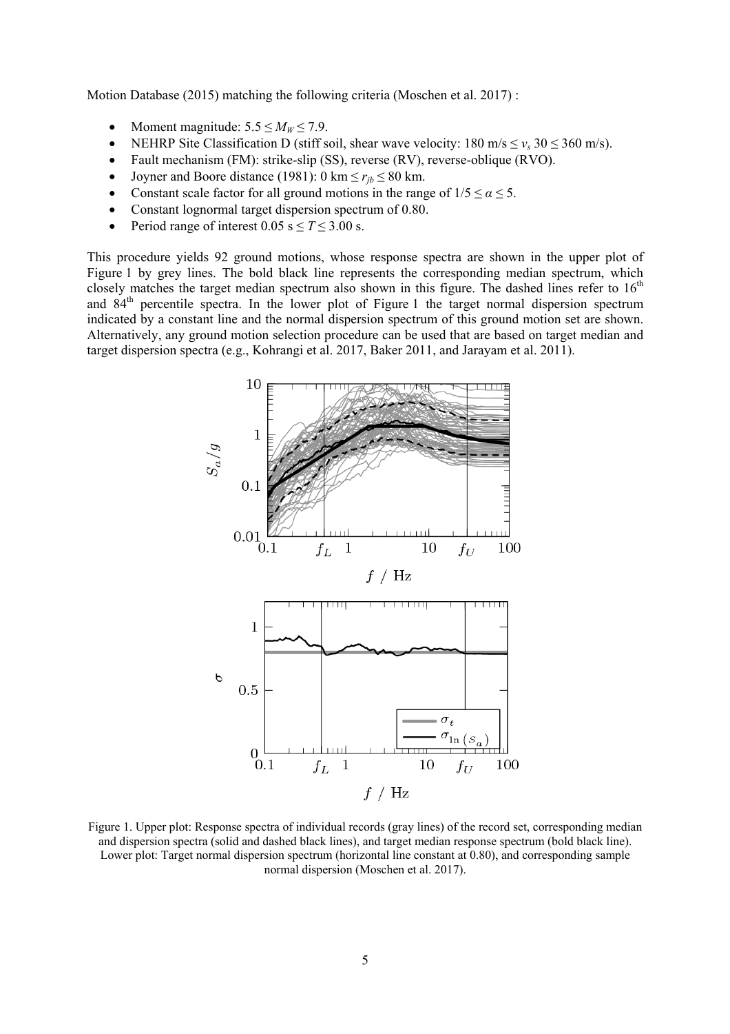Motion Database (2015) matching the following criteria (Moschen et al. 2017) :

- Moment magnitude:  $5.5 \le M_W \le 7.9$ .
- NEHRP Site Classification D (stiff soil, shear wave velocity:  $180 \text{ m/s} < v_s \cdot 30 \leq 360 \text{ m/s}$ ).
- Fault mechanism (FM): strike-slip (SS), reverse (RV), reverse-oblique (RVO).
- Joyner and Boore distance (1981):  $0 \text{ km} \le r_{ib} \le 80 \text{ km}$ .
- Constant scale factor for all ground motions in the range of  $1/5 \le \alpha \le 5$ .
- Constant lognormal target dispersion spectrum of 0.80.
- Period range of interest  $0.05$  s  $\leq T \leq 3.00$  s.

This procedure yields 92 ground motions, whose response spectra are shown in the upper plot of Figure 1 by grey lines. The bold black line represents the corresponding median spectrum, which closely matches the target median spectrum also shown in this figure. The dashed lines refer to  $16<sup>th</sup>$ and  $84<sup>th</sup>$  percentile spectra. In the lower plot of Figure 1 the target normal dispersion spectrum indicated by a constant line and the normal dispersion spectrum of this ground motion set are shown. Alternatively, any ground motion selection procedure can be used that are based on target median and target dispersion spectra (e.g., Kohrangi et al. 2017, Baker 2011, and Jarayam et al. 2011).



Figure 1. Upper plot: Response spectra of individual records (gray lines) of the record set, corresponding median and dispersion spectra (solid and dashed black lines), and target median response spectrum (bold black line). Lower plot: Target normal dispersion spectrum (horizontal line constant at 0.80), and corresponding sample normal dispersion (Moschen et al. 2017).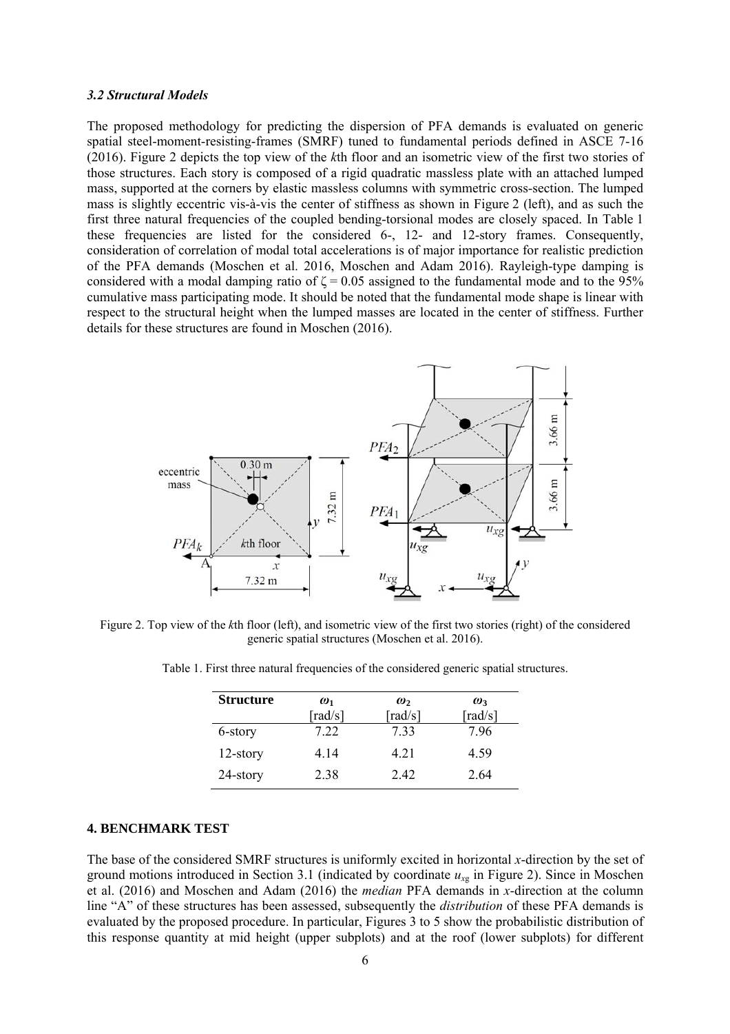#### *3.2 Structural Models*

The proposed methodology for predicting the dispersion of PFA demands is evaluated on generic spatial steel-moment-resisting-frames (SMRF) tuned to fundamental periods defined in ASCE 7-16 (2016). Figure 2 depicts the top view of the *k*th floor and an isometric view of the first two stories of those structures. Each story is composed of a rigid quadratic massless plate with an attached lumped mass, supported at the corners by elastic massless columns with symmetric cross-section. The lumped mass is slightly eccentric vis-à-vis the center of stiffness as shown in Figure 2 (left), and as such the first three natural frequencies of the coupled bending-torsional modes are closely spaced. In Table 1 these frequencies are listed for the considered 6-, 12- and 12-story frames. Consequently, consideration of correlation of modal total accelerations is of major importance for realistic prediction of the PFA demands (Moschen et al. 2016, Moschen and Adam 2016). Rayleigh-type damping is considered with a modal damping ratio of  $\zeta = 0.05$  assigned to the fundamental mode and to the 95% cumulative mass participating mode. It should be noted that the fundamental mode shape is linear with respect to the structural height when the lumped masses are located in the center of stiffness. Further details for these structures are found in Moschen (2016).



Figure 2. Top view of the *k*th floor (left), and isometric view of the first two stories (right) of the considered generic spatial structures (Moschen et al. 2016).

| <b>Structure</b> | $\omega_1$<br>$\lceil \text{rad/s} \rceil$ | $\omega$<br>$\lceil \text{rad/s} \rceil$ | $\omega$<br>$\lceil \text{rad/s} \rceil$ |  |
|------------------|--------------------------------------------|------------------------------------------|------------------------------------------|--|
| 6-story          | 7.22                                       | 733                                      | 7.96                                     |  |
| $12$ -story      | 4 14                                       | 4.21                                     | 4.59                                     |  |
| $24$ -story      | 2.38                                       | 2.42                                     | 2.64                                     |  |

Table 1. First three natural frequencies of the considered generic spatial structures.

# **4. BENCHMARK TEST**

The base of the considered SMRF structures is uniformly excited in horizontal *x*-direction by the set of ground motions introduced in Section 3.1 (indicated by coordinate *ux*g in Figure 2). Since in Moschen et al. (2016) and Moschen and Adam (2016) the *median* PFA demands in *x*-direction at the column line "A" of these structures has been assessed, subsequently the *distribution* of these PFA demands is evaluated by the proposed procedure. In particular, Figures 3 to 5 show the probabilistic distribution of this response quantity at mid height (upper subplots) and at the roof (lower subplots) for different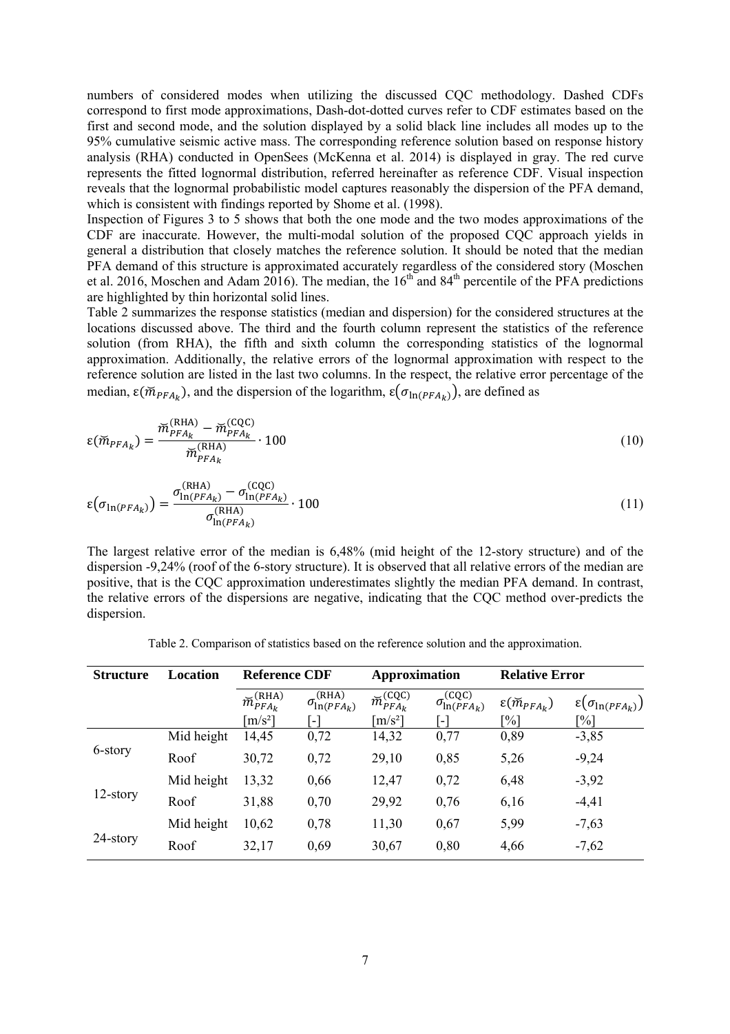numbers of considered modes when utilizing the discussed CQC methodology. Dashed CDFs correspond to first mode approximations, Dash-dot-dotted curves refer to CDF estimates based on the first and second mode, and the solution displayed by a solid black line includes all modes up to the 95% cumulative seismic active mass. The corresponding reference solution based on response history analysis (RHA) conducted in OpenSees (McKenna et al. 2014) is displayed in gray. The red curve represents the fitted lognormal distribution, referred hereinafter as reference CDF. Visual inspection reveals that the lognormal probabilistic model captures reasonably the dispersion of the PFA demand, which is consistent with findings reported by Shome et al. (1998).

Inspection of Figures 3 to 5 shows that both the one mode and the two modes approximations of the CDF are inaccurate. However, the multi-modal solution of the proposed CQC approach yields in general a distribution that closely matches the reference solution. It should be noted that the median PFA demand of this structure is approximated accurately regardless of the considered story (Moschen et al. 2016, Moschen and Adam 2016). The median, the  $16<sup>th</sup>$  and 84<sup>th</sup> percentile of the PFA predictions are highlighted by thin horizontal solid lines.

Table 2 summarizes the response statistics (median and dispersion) for the considered structures at the locations discussed above. The third and the fourth column represent the statistics of the reference solution (from RHA), the fifth and sixth column the corresponding statistics of the lognormal approximation. Additionally, the relative errors of the lognormal approximation with respect to the reference solution are listed in the last two columns. In the respect, the relative error percentage of the median,  $\varepsilon(\tilde{m}_{PFA_{\nu}})$ , and the dispersion of the logarithm,  $\varepsilon(\sigma_{\ln(PFA_{\nu})})$ , are defined as

$$
\varepsilon(\widetilde{m}_{PFA_k}) = \frac{\widetilde{m}_{PFA_k}^{(\text{RHA})} - \widetilde{m}_{PFA_k}^{(\text{CQC})}}{\widetilde{m}_{PFA_k}^{(\text{RHA})}} \cdot 100
$$
\n(10)

$$
\varepsilon(\sigma_{\ln(PFA_k)}) = \frac{\sigma_{\ln(PFA_k)}^{\text{(RHA)}} - \sigma_{\ln(PFA_k)}^{\text{(CQC)}}}{\sigma_{\ln(PFA_k)}^{\text{(RHA)}}} \cdot 100
$$
\n(11)

The largest relative error of the median is 6,48% (mid height of the 12-story structure) and of the dispersion -9,24% (roof of the 6-story structure). It is observed that all relative errors of the median are positive, that is the CQC approximation underestimates slightly the median PFA demand. In contrast, the relative errors of the dispersions are negative, indicating that the CQC method over-predicts the dispersion.

| <b>Structure</b> | Location   | <b>Reference CDF</b>                              |                                | Approximation                     |                                              | <b>Relative Error</b>            |                                 |
|------------------|------------|---------------------------------------------------|--------------------------------|-----------------------------------|----------------------------------------------|----------------------------------|---------------------------------|
|                  |            | $\overline{\widetilde{m}}_{PFA_k}^{\text{(RHA)}}$ | (RHA)<br>$\sigma_{\ln(PFA_k)}$ | $\breve m^{(\text{CQC})}_{PFA_k}$ | (CQC)<br>$\sigma_{\ln(PFA_k)}^{\text{true}}$ | $\varepsilon(\breve{m}_{PFA_k})$ | $\epsilon(\sigma_{\ln(PFA_k)})$ |
|                  |            | $\left[\frac{m}{s^2}\right]$                      | L.                             | $\lceil m/s^2 \rceil$             | ı — I                                        | $\lceil\% \rceil$                | $\lceil\% \rceil$               |
| 6-story          | Mid height | 14,45                                             | 0,72                           | 14,32                             | 0,77                                         | 0,89                             | $-3,85$                         |
|                  | Roof       | 30,72                                             | 0,72                           | 29,10                             | 0,85                                         | 5,26                             | $-9,24$                         |
| $12$ -story      | Mid height | 13,32                                             | 0,66                           | 12,47                             | 0,72                                         | 6,48                             | $-3,92$                         |
|                  | Roof       | 31,88                                             | 0,70                           | 29,92                             | 0,76                                         | 6,16                             | $-4,41$                         |
| 24-story         | Mid height | 10,62                                             | 0,78                           | 11,30                             | 0,67                                         | 5,99                             | $-7,63$                         |
|                  | Roof       | 32,17                                             | 0,69                           | 30,67                             | 0,80                                         | 4,66                             | $-7,62$                         |

Table 2. Comparison of statistics based on the reference solution and the approximation.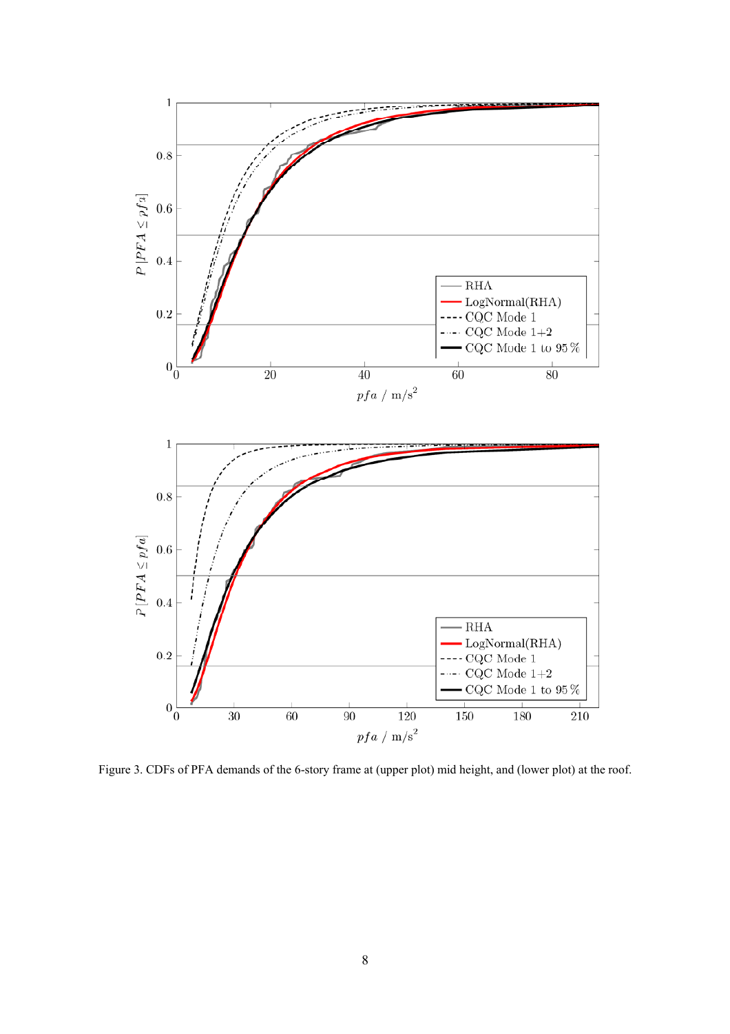

Figure 3. CDFs of PFA demands of the 6-story frame at (upper plot) mid height, and (lower plot) at the roof.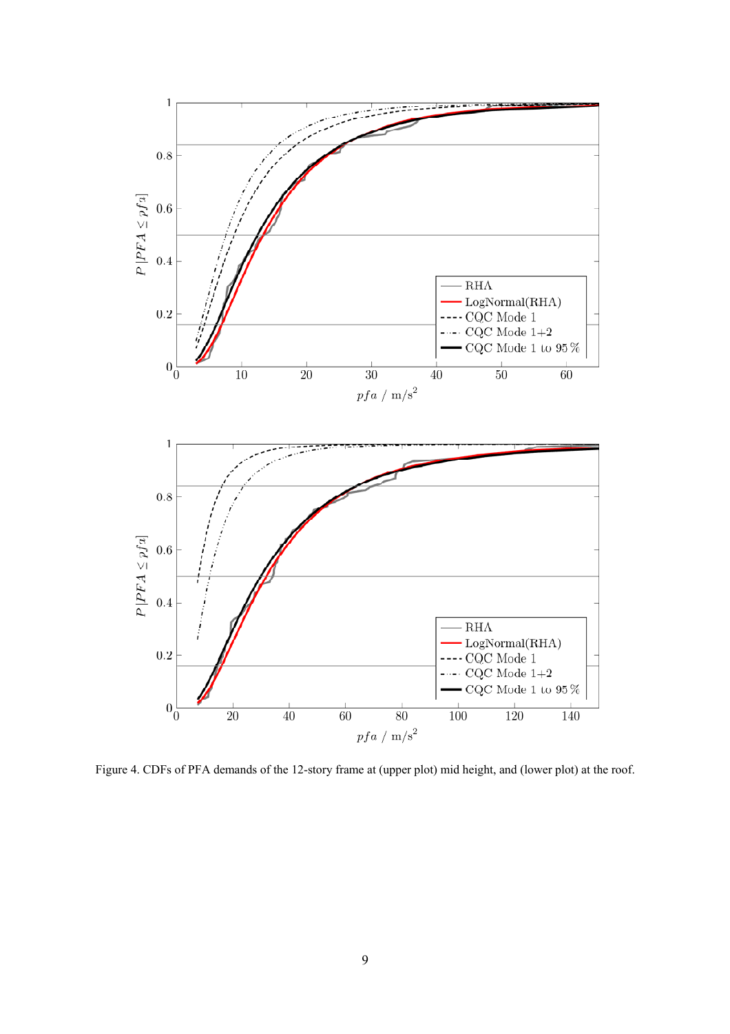

Figure 4. CDFs of PFA demands of the 12-story frame at (upper plot) mid height, and (lower plot) at the roof.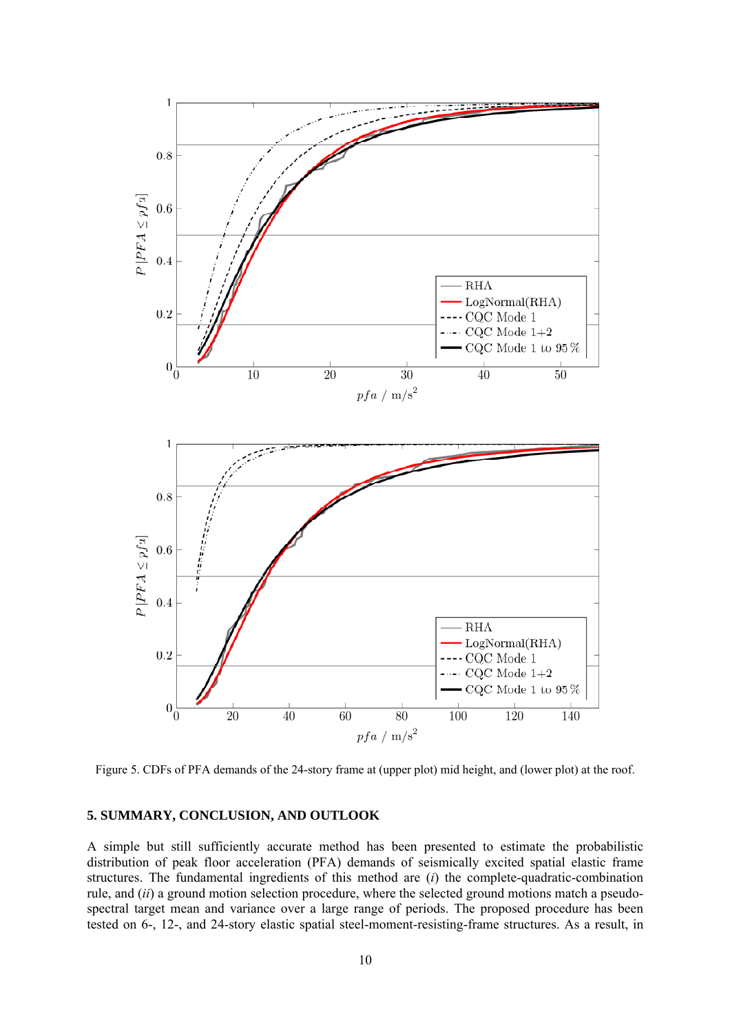

Figure 5. CDFs of PFA demands of the 24-story frame at (upper plot) mid height, and (lower plot) at the roof.

## **5. SUMMARY, CONCLUSION, AND OUTLOOK**

A simple but still sufficiently accurate method has been presented to estimate the probabilistic distribution of peak floor acceleration (PFA) demands of seismically excited spatial elastic frame structures. The fundamental ingredients of this method are (*i*) the complete-quadratic-combination rule, and (*ii*) a ground motion selection procedure, where the selected ground motions match a pseudospectral target mean and variance over a large range of periods. The proposed procedure has been tested on 6-, 12-, and 24-story elastic spatial steel-moment-resisting-frame structures. As a result, in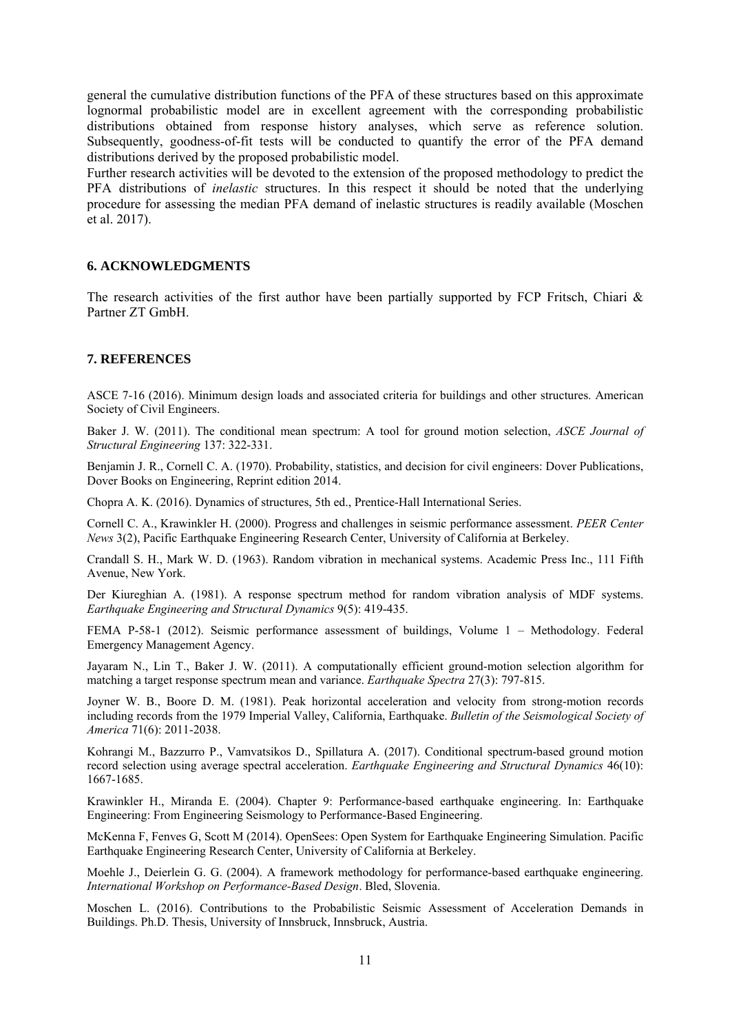general the cumulative distribution functions of the PFA of these structures based on this approximate lognormal probabilistic model are in excellent agreement with the corresponding probabilistic distributions obtained from response history analyses, which serve as reference solution. Subsequently, goodness-of-fit tests will be conducted to quantify the error of the PFA demand distributions derived by the proposed probabilistic model.

Further research activities will be devoted to the extension of the proposed methodology to predict the PFA distributions of *inelastic* structures. In this respect it should be noted that the underlying procedure for assessing the median PFA demand of inelastic structures is readily available (Moschen et al. 2017).

# **6. ACKNOWLEDGMENTS**

The research activities of the first author have been partially supported by FCP Fritsch, Chiari  $\&$ Partner ZT GmbH.

# **7. REFERENCES**

ASCE 7-16 (2016). Minimum design loads and associated criteria for buildings and other structures. American Society of Civil Engineers.

Baker J. W. (2011). The conditional mean spectrum: A tool for ground motion selection, *ASCE Journal of Structural Engineering* 137: 322-331.

Benjamin J. R., Cornell C. A. (1970). Probability, statistics, and decision for civil engineers: Dover Publications, Dover Books on Engineering, Reprint edition 2014.

Chopra A. K. (2016). Dynamics of structures, 5th ed., Prentice-Hall International Series.

Cornell C. A., Krawinkler H. (2000). Progress and challenges in seismic performance assessment. *PEER Center News* 3(2), Pacific Earthquake Engineering Research Center, University of California at Berkeley.

Crandall S. H., Mark W. D. (1963). Random vibration in mechanical systems. Academic Press Inc., 111 Fifth Avenue, New York.

Der Kiureghian A. (1981). A response spectrum method for random vibration analysis of MDF systems. *Earthquake Engineering and Structural Dynamics* 9(5): 419-435.

FEMA P-58-1 (2012). Seismic performance assessment of buildings, Volume 1 – Methodology. Federal Emergency Management Agency.

Jayaram N., Lin T., Baker J. W. (2011). A computationally efficient ground-motion selection algorithm for matching a target response spectrum mean and variance. *Earthquake Spectra* 27(3): 797-815.

Joyner W. B., Boore D. M. (1981). Peak horizontal acceleration and velocity from strong-motion records including records from the 1979 Imperial Valley, California, Earthquake. *Bulletin of the Seismological Society of America* 71(6): 2011-2038.

Kohrangi M., Bazzurro P., Vamvatsikos D., Spillatura A. (2017). Conditional spectrum-based ground motion record selection using average spectral acceleration. *Earthquake Engineering and Structural Dynamics* 46(10): 1667-1685.

Krawinkler H., Miranda E. (2004). Chapter 9: Performance-based earthquake engineering. In: Earthquake Engineering: From Engineering Seismology to Performance-Based Engineering.

McKenna F, Fenves G, Scott M (2014). OpenSees: Open System for Earthquake Engineering Simulation. Pacific Earthquake Engineering Research Center, University of California at Berkeley.

Moehle J., Deierlein G. G. (2004). A framework methodology for performance-based earthquake engineering. *International Workshop on Performance-Based Design*. Bled, Slovenia.

Moschen L. (2016). Contributions to the Probabilistic Seismic Assessment of Acceleration Demands in Buildings. Ph.D. Thesis, University of Innsbruck, Innsbruck, Austria.